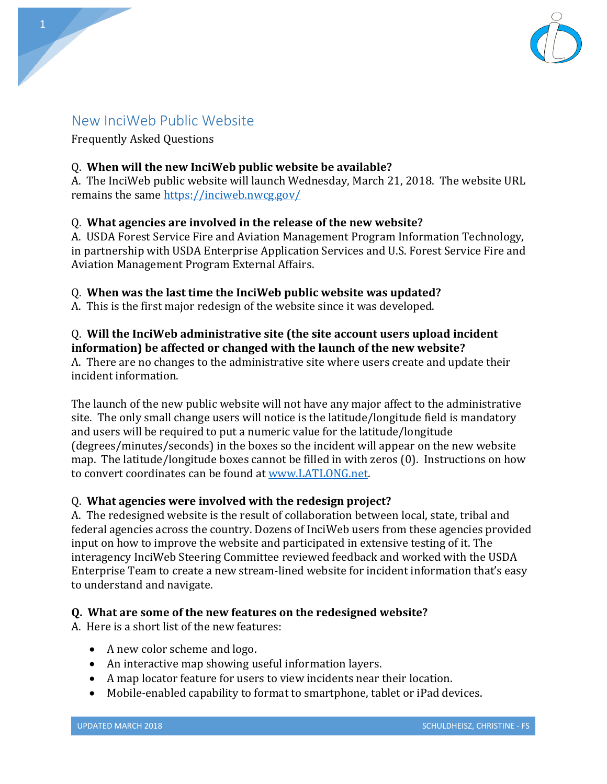

# New InciWeb Public Website

Frequently Asked Questions

## Q. **When will the new InciWeb public website be available?**

A. The InciWeb public website will launch Wednesday, March 21, 2018. The website URL remains the same<https://inciweb.nwcg.gov/>

## Q. **What agencies are involved in the release of the new website?**

A. USDA Forest Service Fire and Aviation Management Program Information Technology, in partnership with USDA Enterprise Application Services and U.S. Forest Service Fire and Aviation Management Program External Affairs.

## Q. **When was the last time the InciWeb public website was updated?**

A. This is the first major redesign of the website since it was developed.

# Q. **Will the InciWeb administrative site (the site account users upload incident information) be affected or changed with the launch of the new website?**

A. There are no changes to the administrative site where users create and update their incident information.

The launch of the new public website will not have any major affect to the administrative site. The only small change users will notice is the latitude/longitude field is mandatory and users will be required to put a numeric value for the latitude/longitude (degrees/minutes/seconds) in the boxes so the incident will appear on the new website map. The latitude/longitude boxes cannot be filled in with zeros (0). Instructions on how to convert coordinates can be found at [www.LATLONG.net.](http://www.latlong.net/)

# Q. **What agencies were involved with the redesign project?**

A. The redesigned website is the result of collaboration between local, state, tribal and federal agencies across the country. Dozens of InciWeb users from these agencies provided input on how to improve the website and participated in extensive testing of it. The interagency InciWeb Steering Committee reviewed feedback and worked with the USDA Enterprise Team to create a new stream-lined website for incident information that's easy to understand and navigate.

# **Q. What are some of the new features on the redesigned website?**

A. Here is a short list of the new features:

- A new color scheme and logo.
- An interactive map showing useful information layers.
- A map locator feature for users to view incidents near their location.
- Mobile-enabled capability to format to smartphone, tablet or iPad devices.